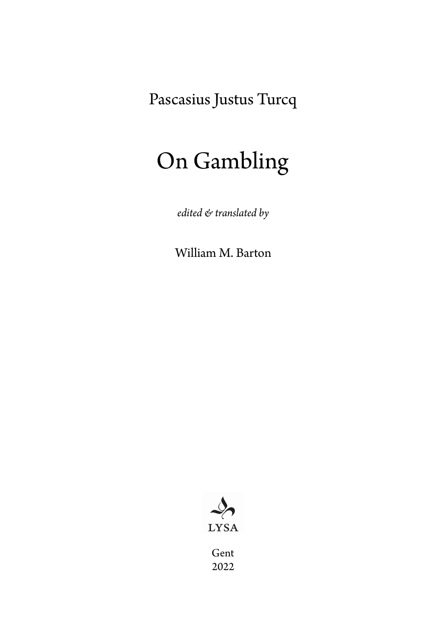Pascasius Justus Turcq

# On Gambling

*edited & translated by*

William M. Barton



Gent 2022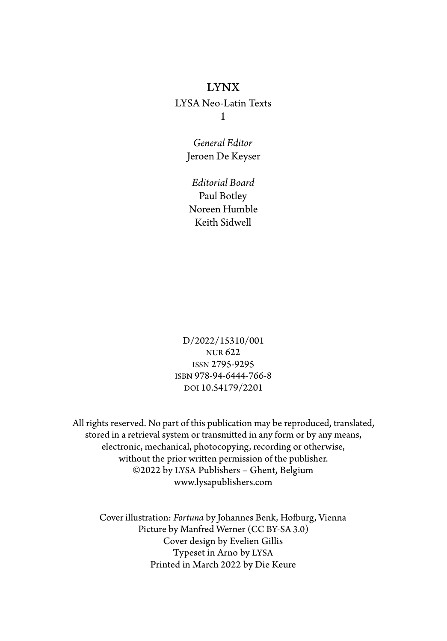#### LYNX

LYSA Neo-Latin Texts 1

> *General Editor* Jeroen De Keyser

*Editorial Board* Paul Botley Noreen Humble Keith Sidwell

D/2022/15310/001 NUR 622 ISSN 2795-9295 ISBN 978-94-6444-766-8 DOI 10.54179/2201

All rights reserved. No part of this publication may be reproduced, translated, stored in a retrieval system or transmitted in any form or by any means, electronic, mechanical, photocopying, recording or otherwise, without the prior written permission of the publisher. ©2022 by LYSA Publishers – Ghent, Belgium www.lysapublishers.com

Cover illustration: Fortuna by Johannes Benk, Hofburg, Vienna Picture by Manfred Werner (CC BY-SA 3.0) Cover design by Evelien Gillis Typeset in Arno by LYSA Printed in March 2022 by Die Keure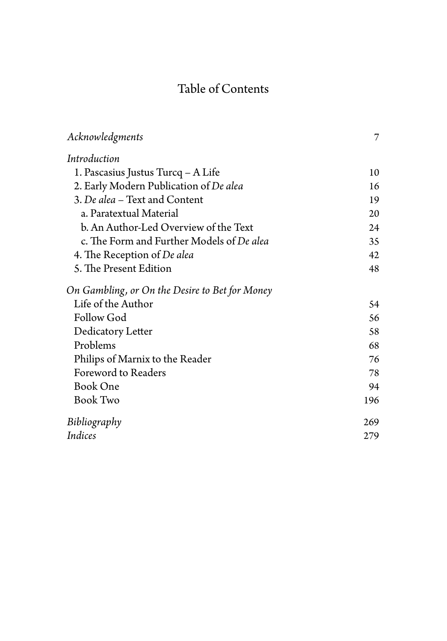# Table of Contents

| Acknowledgments                                | 7   |
|------------------------------------------------|-----|
| Introduction                                   |     |
| 1. Pascasius Justus Turcq - A Life             | 10  |
| 2. Early Modern Publication of De alea         | 16  |
| 3. De alea - Text and Content                  | 19  |
| a. Paratextual Material                        | 20  |
| b. An Author-Led Overview of the Text          | 24  |
| c. The Form and Further Models of De alea      | 35  |
| 4. The Reception of De alea                    | 42  |
| 5. The Present Edition                         | 48  |
| On Gambling, or On the Desire to Bet for Money |     |
| Life of the Author                             | 54  |
| Follow God                                     | 56  |
| Dedicatory Letter                              | 58  |
| Problems                                       | 68  |
| Philips of Marnix to the Reader                | 76  |
| Foreword to Readers                            | 78  |
| <b>Book One</b>                                | 94  |
| <b>Book Two</b>                                | 196 |
| Bibliography                                   | 269 |
| Indices                                        | 279 |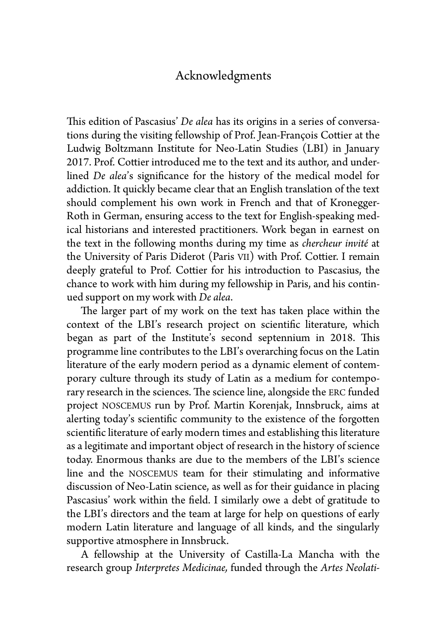### Acknowledgments

This edition of Pascasius' *De alea* has its origins in a series of conversations during the visiting fellowship of Prof. Jean-François Cottier at the Ludwig Boltzmann Institute for Neo-Latin Studies (LBI) in January 2017. Prof. Cottier introduced me to the text and its author, and underlined *De alea*'s significance for the history of the medical model for addiction. It quickly became clear that an English translation of the text should complement his own work in French and that of Kronegger-Roth in German, ensuring access to the text for English-speaking medical historians and interested practitioners. Work began in earnest on the text in the following months during my time as *chercheur invité* at the University of Paris Diderot (Paris VII) with Prof. Cottier. I remain deeply grateful to Prof. Cottier for his introduction to Pascasius, the chance to work with him during my fellowship in Paris, and his continued support on my work with *De alea*.

The larger part of my work on the text has taken place within the context of the LBI's research project on scientific literature, which began as part of the Institute's second septennium in 2018. This programme line contributes to the LBI's overarching focus on the Latin literature of the early modern period as a dynamic element of contemporary culture through its study of Latin as a medium for contemporary research in the sciences. The science line, alongside the ERC funded project NOSCEMUS run by Prof. Martin Korenjak, Innsbruck, aims at alerting today's scientific community to the existence of the forgotten scientific literature of early modern times and establishing this literature as a legitimate and important object of research in the history of science today. Enormous thanks are due to the members of the LBI's science line and the NOSCEMUS team for their stimulating and informative discussion of Neo-Latin science, as well as for their guidance in placing Pascasius' work within the field. I similarly owe a debt of gratitude to the LBI's directors and the team at large for help on questions of early modern Latin literature and language of all kinds, and the singularly supportive atmosphere in Innsbruck.

A fellowship at the University of Castilla-La Mancha with the research group *Interpretes Medicinae,* funded through the *Artes Neolati-*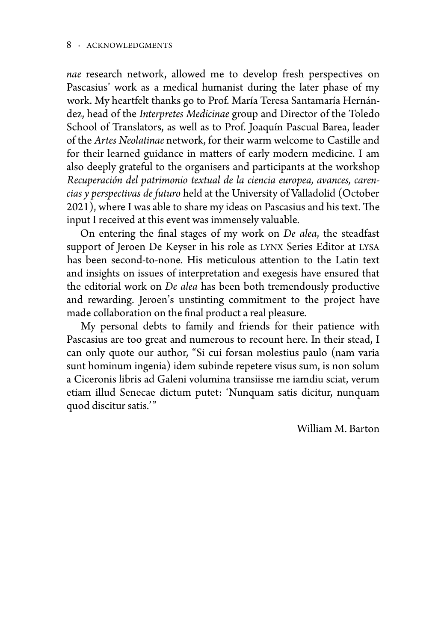*nae* research network, allowed me to develop fresh perspectives on Pascasius' work as a medical humanist during the later phase of my work. My heartfelt thanks go to Prof. María Teresa Santamaría Hernández, head of the *Interpretes Medicinae* group and Director of the Toledo School of Translators, as well as to Prof. Joaquín Pascual Barea, leader of the *Artes Neolatinae* network, for their warm welcome to Castille and for their learned guidance in matters of early modern medicine. I am also deeply grateful to the organisers and participants at the workshop *Recuperación del patrimonio textual de la ciencia europea, avances, carencias y perspectivas de futuro* held at the University of Valladolid (October  $2021$ ), where I was able to share my ideas on Pascasius and his text. The input I received at this event was immensely valuable.

On entering the final stages of my work on *De alea*, the steadfast support of Jeroen De Keyser in his role as LYNX Series Editor at LYSA has been second-to-none. His meticulous attention to the Latin text and insights on issues of interpretation and exegesis have ensured that the editorial work on *De alea* has been both tremendously productive and rewarding. Jeroen's unstinting commitment to the project have made collaboration on the final product a real pleasure.

My personal debts to family and friends for their patience with Pascasius are too great and numerous to recount here. In their stead, I can only quote our author, "Si cui forsan molestius paulo (nam varia sunt hominum ingenia) idem subinde repetere visus sum, is non solum a Ciceronis libris ad Galeni volumina transiisse me iamdiu sciat, verum etiam illud Senecae dictum putet: 'Nunquam satis dicitur, nunquam quod discitur satis.'"

William M. Barton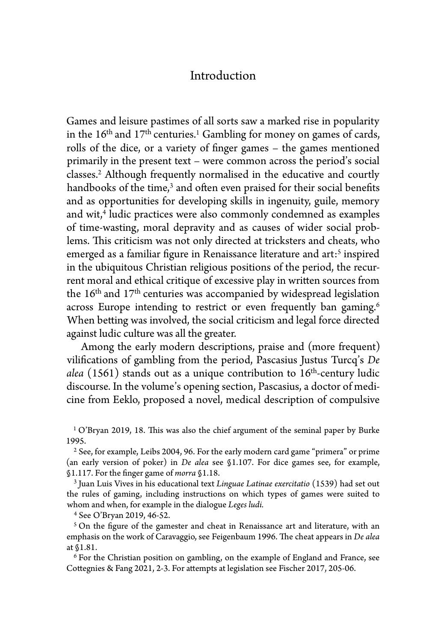### Introduction

Games and leisure pastimes of all sorts saw a marked rise in popularity in the  $16<sup>th</sup>$  and  $17<sup>th</sup>$  centuries.<sup>1</sup> Gambling for money on games of cards, rolls of the dice, or a variety of finger games – the games mentioned primarily in the present text – were common across the period's social classes.2 Although frequently normalised in the educative and courtly handbooks of the time,<sup>3</sup> and often even praised for their social benefits and as opportunities for developing skills in ingenuity, guile, memory and wit,<sup>4</sup> ludic practices were also commonly condemned as examples of time-wasting, moral depravity and as causes of wider social problems. This criticism was not only directed at tricksters and cheats, who emerged as a familiar figure in Renaissance literature and art:<sup>5</sup> inspired in the ubiquitous Christian religious positions of the period, the recurrent moral and ethical critique of excessive play in written sources from the 16th and 17th centuries was accompanied by widespread legislation across Europe intending to restrict or even frequently ban gaming.<sup>6</sup> When betting was involved, the social criticism and legal force directed against ludic culture was all the greater.

Among the early modern descriptions, praise and (more frequent) vilifications of gambling from the period, Pascasius Justus Turcq's *De alea* (1561) stands out as a unique contribution to 16th-century ludic discourse. In the volume's opening section, Pascasius, a doctor of medicine from Eeklo, proposed a novel, medical description of compulsive

<sup>1</sup> O'Bryan 2019, 18. This was also the chief argument of the seminal paper by Burke 1995.

2 See, for example, Leibs 2004, 96. For the early modern card game "primera" or prime (an early version of poker) in *De alea* see §1.107. For dice games see, for example, §1.117. For the finger game of *morra* §1.18.

3 Juan Luis Vives in his educational text *Linguae Latinae exercitatio* (1539) had set out the rules of gaming, including instructions on which types of games were suited to whom and when, for example in the dialogue *Leges ludi.*

4 See O'Bryan 2019, 46-52.

 $5$  On the figure of the gamester and cheat in Renaissance art and literature, with an emphasis on the work of Caravaggio, see Feigenbaum 1996. The cheat appears in *De alea* at §1.81.

6 For the Christian position on gambling, on the example of England and France, see Cottegnies & Fang 2021, 2-3. For attempts at legislation see Fischer 2017, 205-06.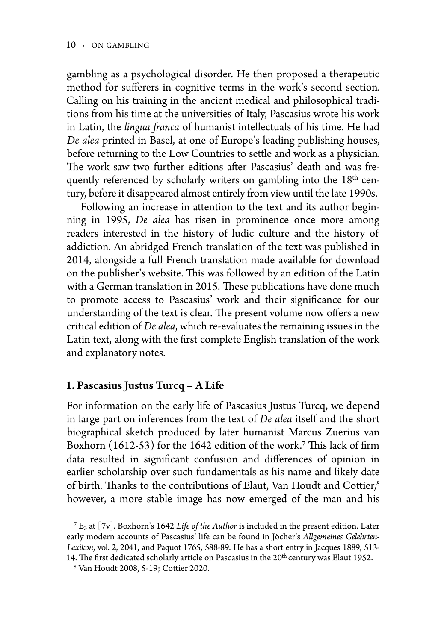gambling as a psychological disorder. He then proposed a therapeutic method for sufferers in cognitive terms in the work's second section. Calling on his training in the ancient medical and philosophical traditions from his time at the universities of Italy, Pascasius wrote his work in Latin, the *lingua franca* of humanist intellectuals of his time. He had *De alea* printed in Basel, at one of Europe's leading publishing houses, before returning to the Low Countries to settle and work as a physician. The work saw two further editions after Pascasius' death and was frequently referenced by scholarly writers on gambling into the 18<sup>th</sup> century, before it disappeared almost entirely from view until the late 1990s.

Following an increase in attention to the text and its author beginning in 1995, *De alea* has risen in prominence once more among readers interested in the history of ludic culture and the history of addiction. An abridged French translation of the text was published in 2014, alongside a full French translation made available for download on the publisher's website. This was followed by an edition of the Latin with a German translation in 2015. These publications have done much to promote access to Pascasius' work and their significance for our understanding of the text is clear. The present volume now offers a new critical edition of *De alea*, which re-evaluates the remaining issues in the Latin text, along with the first complete English translation of the work and explanatory notes.

#### 1. Pascasius Justus Turcq – A Life

For information on the early life of Pascasius Justus Turcq, we depend in large part on inferences from the text of *De alea* itself and the short biographical sketch produced by later humanist Marcus Zuerius van Boxhorn  $(1612-53)$  for the 1642 edition of the work.<sup>7</sup> This lack of firm data resulted in significant confusion and differences of opinion in earlier scholarship over such fundamentals as his name and likely date of birth. Thanks to the contributions of Elaut, Van Houdt and Cottier,<sup>8</sup> however, a more stable image has now emerged of the man and his

<sup>7</sup> E3 at [7v]. Boxhorn's 1642 *Life of the Author* is included in the present edition. Later early modern accounts of Pascasius' life can be found in Jöcher's *Allgemeines Gelehrten-Lexikon*, vol. 2, 2041, and Paquot 1765, 588-89. He has a short entry in Jacques 1889, 513- 14. The first dedicated scholarly article on Pascasius in the 20<sup>th</sup> century was Elaut 1952.

<sup>&</sup>lt;sup>8</sup> Van Houdt 2008, 5-19; Cottier 2020.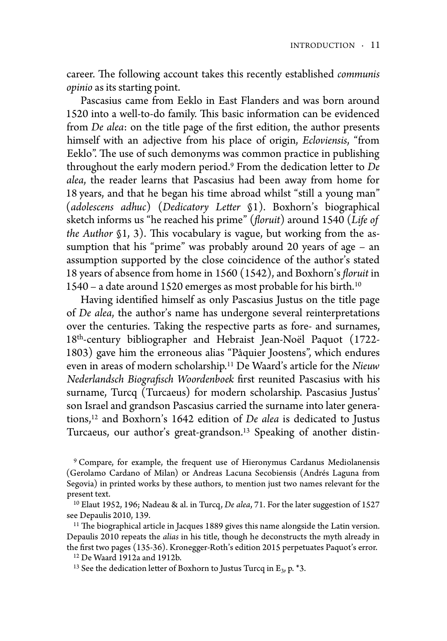career. The following account takes this recently established *communis opinio* as its starting point.

Pascasius came from Eeklo in East Flanders and was born around 1520 into a well-to-do family. This basic information can be evidenced from *De alea*: on the title page of the first edition, the author presents himself with an adjective from his place of origin, *Ecloviensis*, "from Eeklo". The use of such demonyms was common practice in publishing throughout the early modern period.<sup>9</sup> From the dedication letter to *De alea*, the reader learns that Pascasius had been away from home for 18 years, and that he began his time abroad whilst "still a young man" (*adolescens adhuc*) (*Dedicatory Le"er* §1). Boxhorn's biographical sketch informs us "he reached his prime" (*#oruit*) around 1540 (*Life of the Author* §1, 3). This vocabulary is vague, but working from the assumption that his "prime" was probably around 20 years of age – an assumption supported by the close coincidence of the author's stated 18 years of absence from home in 1560 (1542), and Boxhorn's *#oruit* in 1540 – a date around 1520 emerges as most probable for his birth.10

Having identified himself as only Pascasius Justus on the title page of *De alea*, the author's name has undergone several reinterpretations over the centuries. Taking the respective parts as fore- and surnames, 18th-century bibliographer and Hebraist Jean-Noël Paquot (1722- 1803) gave him the erroneous alias "Pâquier Joostens", which endures even in areas of modern scholarship.11 De Waard's article for the *Nieuw Nederlandsch Biografisch Woordenboek* first reunited Pascasius with his surname, Turcq (Turcaeus) for modern scholarship. Pascasius Justus' son Israel and grandson Pascasius carried the surname into later generations,12 and Boxhorn's 1642 edition of *De alea* is dedicated to Justus Turcaeus, our author's great-grandson.<sup>13</sup> Speaking of another distin-

<sup>9</sup> Compare, for example, the frequent use of Hieronymus Cardanus Mediolanensis (Gerolamo Cardano of Milan) or Andreas Lacuna Secobiensis (Andrés Laguna from Segovia) in printed works by these authors, to mention just two names relevant for the present text.

10 Elaut 1952, 196; Nadeau & al. in Turcq, *De alea*, 71. For the later suggestion of 1527 see Depaulis 2010, 139.

 $11$  The biographical article in Jacques 1889 gives this name alongside the Latin version. Depaulis 2010 repeats the *alias* in his title, though he deconstructs the myth already in the first two pages (135-36). Kronegger-Roth's edition 2015 perpetuates Paquot's error.

12 De Waard 1912a and 1912b.

<sup>13</sup> See the dedication letter of Boxhorn to Justus Turcq in E<sub>3</sub>, p.  $*3$ .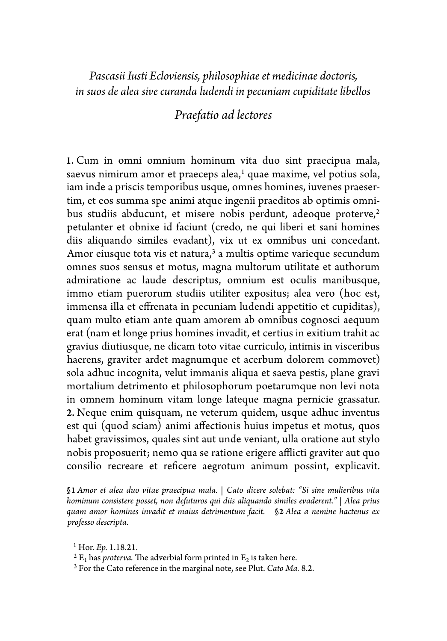*Pascasii Iusti Ecloviensis, philosophiae et medicinae doctoris, in suos de alea sive curanda ludendi in pecuniam cupiditate libellos*

## *Praefatio ad lectores*

1. Cum in omni omnium hominum vita duo sint praecipua mala, saevus nimirum amor et praeceps alea, $<sup>1</sup>$  quae maxime, vel potius sola,</sup> iam inde a priscis temporibus usque, omnes homines, iuvenes praesertim, et eos summa spe animi atque ingenii praeditos ab optimis omnibus studiis abducunt, et misere nobis perdunt, adeoque proterve,<sup>2</sup> petulanter et obnixe id faciunt (credo, ne qui liberi et sani homines diis aliquando similes evadant), vix ut ex omnibus uni concedant. Amor eiusque tota vis et natura, $3$  a multis optime varieque secundum omnes suos sensus et motus, magna multorum utilitate et authorum admiratione ac laude descriptus, omnium est oculis manibusque, immo etiam puerorum studiis utiliter expositus; alea vero (hoc est, immensa illa et effrenata in pecuniam ludendi appetitio et cupiditas), quam multo etiam ante quam amorem ab omnibus cognosci aequum erat (nam et longe prius homines invadit, et certius in exitium trahit ac gravius diutiusque, ne dicam toto vitae curriculo, intimis in visceribus haerens, graviter ardet magnumque et acerbum dolorem commovet) sola adhuc incognita, velut immanis aliqua et saeva pestis, plane gravi mortalium detrimento et philosophorum poetarumque non levi nota in omnem hominum vitam longe lateque magna pernicie grassatur. 2. Neque enim quisquam, ne veterum quidem, usque adhuc inventus est qui (quod sciam) animi affectionis huius impetus et motus, quos habet gravissimos, quales sint aut unde veniant, ulla oratione aut stylo nobis proposuerit; nemo qua se ratione erigere afflicti graviter aut quo consilio recreare et reficere aegrotum animum possint, explicavit.

§1 *Amor et alea duo vitae praecipua mala.* | *Cato dicere solebat: "Si sine mulieribus vita hominum consistere posset, non defuturos qui diis aliquando similes evaderent."* | *Alea prius quam amor homines invadit et maius detrimentum facit.* §2 *Alea a nemine hactenus ex professo descripta.*

<sup>1</sup> Hor. *Ep.* 1.18.21.<br><sup>2</sup> E<sub>1</sub> has *proterva*. The adverbial form printed in E<sub>2</sub> is taken here.

<sup>3</sup> For the Cato reference in the marginal note, see Plut. *Cato Ma.* 8.2.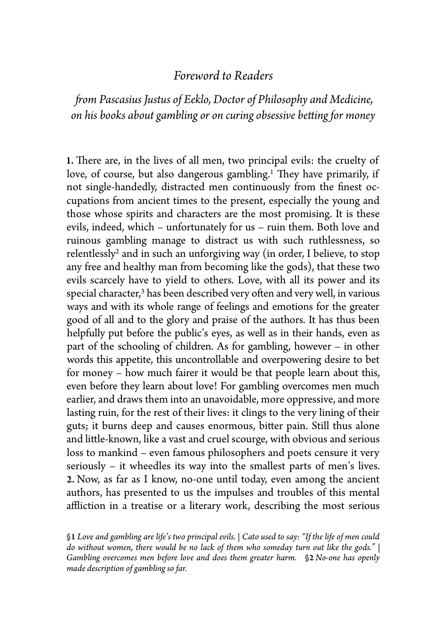### *Foreword to Readers*

*!om Pascasius Justus of Eeklo, Doctor of Philosophy and Medicine, on his books about gambling or on curing obsessive be"ing for money*

1. There are, in the lives of all men, two principal evils: the cruelty of love, of course, but also dangerous gambling.<sup>1</sup> They have primarily, if not single-handedly, distracted men continuously from the finest occupations from ancient times to the present, especially the young and those whose spirits and characters are the most promising. It is these evils, indeed, which – unfortunately for us – ruin them. Both love and ruinous gambling manage to distract us with such ruthlessness, so relentlessly2 and in such an unforgiving way (in order, I believe, to stop any free and healthy man from becoming like the gods), that these two evils scarcely have to yield to others. Love, with all its power and its special character, $3$  has been described very often and very well, in various ways and with its whole range of feelings and emotions for the greater good of all and to the glory and praise of the authors. It has thus been helpfully put before the public's eyes, as well as in their hands, even as part of the schooling of children. As for gambling, however – in other words this appetite, this uncontrollable and overpowering desire to bet for money – how much fairer it would be that people learn about this, even before they learn about love! For gambling overcomes men much earlier, and draws them into an unavoidable, more oppressive, and more lasting ruin, for the rest of their lives: it clings to the very lining of their guts; it burns deep and causes enormous, bitter pain. Still thus alone and little-known, like a vast and cruel scourge, with obvious and serious loss to mankind – even famous philosophers and poets censure it very seriously – it wheedles its way into the smallest parts of men's lives. 2. Now, as far as I know, no-one until today, even among the ancient authors, has presented to us the impulses and troubles of this mental affliction in a treatise or a literary work, describing the most serious

§1 *Love and gambling are life's two principal evils.* | *Cato used to say: "If the life of men could do without women, there would be no lack of them who someday turn out like the gods."* | *Gambling overcomes men before love and does them greater harm.* §2 *No-one has openly made description of gambling so far.*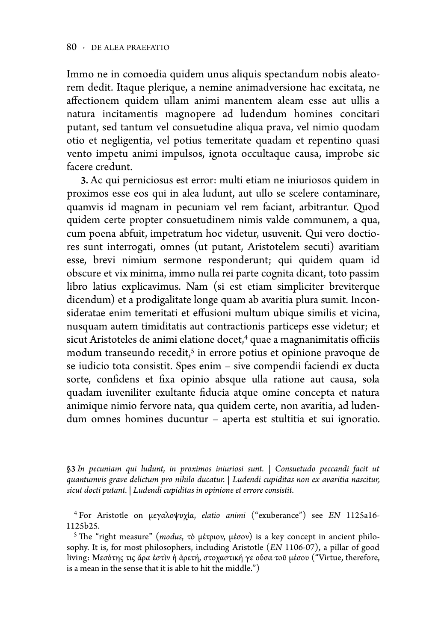Immo ne in comoedia quidem unus aliquis spectandum nobis aleatorem dedit. Itaque plerique, a nemine animadversione hac excitata, ne affectionem quidem ullam animi manentem aleam esse aut ullis a natura incitamentis magnopere ad ludendum homines concitari putant, sed tantum vel consuetudine aliqua prava, vel nimio quodam otio et negligentia, vel potius temeritate quadam et repentino quasi vento impetu animi impulsos, ignota occultaque causa, improbe sic facere credunt.

3. Ac qui perniciosus est error: multi etiam ne iniuriosos quidem in proximos esse eos qui in alea ludunt, aut ullo se scelere contaminare, quamvis id magnam in pecuniam vel rem faciant, arbitrantur. Quod quidem certe propter consuetudinem nimis valde communem, a qua, cum poena abfuit, impetratum hoc videtur, usuvenit. Qui vero doctiores sunt interrogati, omnes (ut putant, Aristotelem secuti) avaritiam esse, brevi nimium sermone responderunt; qui quidem quam id obscure et vix minima, immo nulla rei parte cognita dicant, toto passim libro latius explicavimus. Nam (si est etiam simpliciter breviterque dicendum) et a prodigalitate longe quam ab avaritia plura sumit. Inconsideratae enim temeritati et effusioni multum ubique similis et vicina, nusquam autem timiditatis aut contractionis particeps esse videtur; et sicut Aristoteles de animi elatione docet,<sup>4</sup> quae a magnanimitatis officiis modum transeundo recedit,<sup>5</sup> in errore potius et opinione pravoque de se iudicio tota consistit. Spes enim – sive compendii faciendi ex ducta sorte, confidens et fixa opinio absque ulla ratione aut causa, sola quadam iuveniliter exultante fiducia atque omine concepta et natura animique nimio fervore nata, qua quidem certe, non avaritia, ad ludendum omnes homines ducuntur – aperta est stultitia et sui ignoratio.

§3 *In pecuniam qui ludunt, in proximos iniuriosi sunt.* | *Consuetudo peccandi facit ut quantumvis grave delictum pro nihilo ducatur.* | *Ludendi cupiditas non ex avaritia nascitur, sicut docti putant.* | *Ludendi cupiditas in opinione et errore consistit.*

4 For Aristotle on μεγαλοψυχία, *elatio animi* ("exuberance") see *EN* 1125a16- 1125b25.

<sup>5</sup> The "right measure" (*modus*, τὸ μέτριον, μέσον) is a key concept in ancient philosophy. It is, for most philosophers, including Aristotle (*EN* 1106-07), a pillar of good living: Μεσότης τις ἄρα ἐστὶν ἡ ἀρετή, στοχαστική γε οὖσα τοῦ μέσου ("Virtue, therefore, is a mean in the sense that it is able to hit the middle.")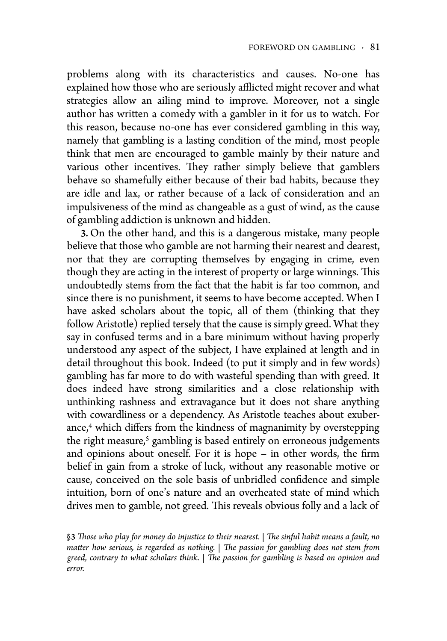problems along with its characteristics and causes. No-one has explained how those who are seriously afflicted might recover and what strategies allow an ailing mind to improve. Moreover, not a single author has written a comedy with a gambler in it for us to watch. For this reason, because no-one has ever considered gambling in this way, namely that gambling is a lasting condition of the mind, most people think that men are encouraged to gamble mainly by their nature and various other incentives. They rather simply believe that gamblers behave so shamefully either because of their bad habits, because they are idle and lax, or rather because of a lack of consideration and an impulsiveness of the mind as changeable as a gust of wind, as the cause of gambling addiction is unknown and hidden.

3. On the other hand, and this is a dangerous mistake, many people believe that those who gamble are not harming their nearest and dearest, nor that they are corrupting themselves by engaging in crime, even though they are acting in the interest of property or large winnings. This undoubtedly stems from the fact that the habit is far too common, and since there is no punishment, it seems to have become accepted. When I have asked scholars about the topic, all of them (thinking that they follow Aristotle) replied tersely that the cause is simply greed. What they say in confused terms and in a bare minimum without having properly understood any aspect of the subject, I have explained at length and in detail throughout this book. Indeed (to put it simply and in few words) gambling has far more to do with wasteful spending than with greed. It does indeed have strong similarities and a close relationship with unthinking rashness and extravagance but it does not share anything with cowardliness or a dependency. As Aristotle teaches about exuberance,<sup>4</sup> which differs from the kindness of magnanimity by overstepping the right measure,<sup>5</sup> gambling is based entirely on erroneous judgements and opinions about oneself. For it is hope – in other words, the firm belief in gain from a stroke of luck, without any reasonable motive or cause, conceived on the sole basis of unbridled confidence and simple intuition, born of one's nature and an overheated state of mind which drives men to gamble, not greed. This reveals obvious folly and a lack of

§3 *!ose who play for money do injustice to their nearest.* | *!e sinful habit means a fault, no matter how serious, is regarded as nothing.* | *The passion for gambling does not stem from greed, contrary to what scholars think.* | *!e passion for gambling is based on opinion and error.*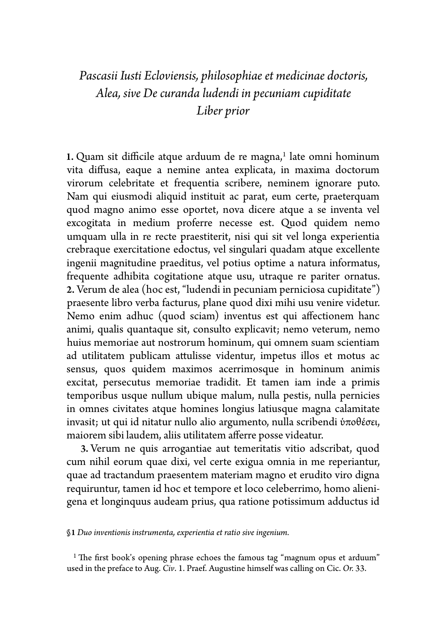# *Pascasii Iusti Ecloviensis, philosophiae et medicinae doctoris, Alea, sive De curanda ludendi in pecuniam cupiditate Liber prior*

1. Quam sit difficile atque arduum de re magna, $1$  late omni hominum vita diffusa, eaque a nemine antea explicata, in maxima doctorum virorum celebritate et frequentia scribere, neminem ignorare puto. Nam qui eiusmodi aliquid instituit ac parat, eum certe, praeterquam quod magno animo esse oportet, nova dicere atque a se inventa vel excogitata in medium proferre necesse est. Quod quidem nemo umquam ulla in re recte praestiterit, nisi qui sit vel longa experientia crebraque exercitatione edoctus, vel singulari quadam atque excellente ingenii magnitudine praeditus, vel potius optime a natura informatus, frequente adhibita cogitatione atque usu, utraque re pariter ornatus. 2. Verum de alea (hoc est, "ludendi in pecuniam perniciosa cupiditate") praesente libro verba facturus, plane quod dixi mihi usu venire videtur. Nemo enim adhuc (quod sciam) inventus est qui affectionem hanc animi, qualis quantaque sit, consulto explicavit; nemo veterum, nemo huius memoriae aut nostrorum hominum, qui omnem suam scientiam ad utilitatem publicam attulisse videntur, impetus illos et motus ac sensus, quos quidem maximos acerrimosque in hominum animis excitat, persecutus memoriae tradidit. Et tamen iam inde a primis temporibus usque nullum ubique malum, nulla pestis, nulla pernicies in omnes civitates atque homines longius latiusque magna calamitate invasit; ut qui id nitatur nullo alio argumento, nulla scribendi ὑποθέσει, maiorem sibi laudem, aliis utilitatem afferre posse videatur.

3. Verum ne quis arrogantiae aut temeritatis vitio adscribat, quod cum nihil eorum quae dixi, vel certe exigua omnia in me reperiantur, quae ad tractandum praesentem materiam magno et erudito viro digna requiruntur, tamen id hoc et tempore et loco celeberrimo, homo alienigena et longinquus audeam prius, qua ratione potissimum adductus id

§1 *Duo inventionis instrumenta, experientia et ratio sive ingenium.*

 $1$  The first book's opening phrase echoes the famous tag "magnum opus et arduum" used in the preface to Aug. *Civ*. 1. Praef. Augustine himself was calling on Cic. *Or.* 33.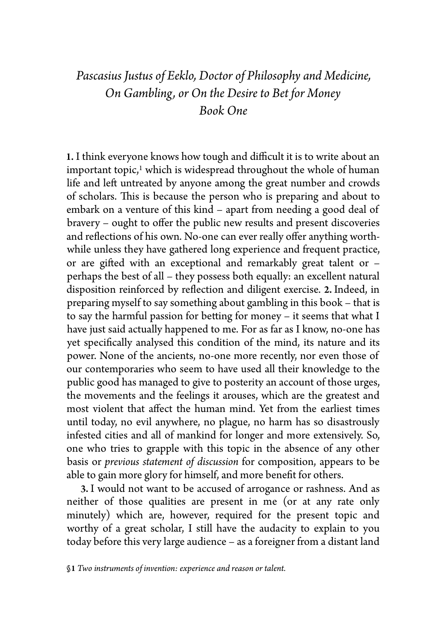# *Pascasius Justus of Eeklo, Doctor of Philosophy and Medicine, On Gambling, or On the Desire to Bet for Money Book One*

1. I think everyone knows how tough and difficult it is to write about an important topic,<sup>1</sup> which is widespread throughout the whole of human life and left untreated by anyone among the great number and crowds of scholars. This is because the person who is preparing and about to embark on a venture of this kind – apart from needing a good deal of bravery – ought to offer the public new results and present discoveries and reflections of his own. No-one can ever really offer anything worthwhile unless they have gathered long experience and frequent practice, or are gifted with an exceptional and remarkably great talent or  $$ perhaps the best of all – they possess both equally: an excellent natural disposition reinforced by reflection and diligent exercise. 2. Indeed, in preparing myself to say something about gambling in this book – that is to say the harmful passion for betting for money – it seems that what I have just said actually happened to me. For as far as I know, no-one has yet specifically analysed this condition of the mind, its nature and its power. None of the ancients, no-one more recently, nor even those of our contemporaries who seem to have used all their knowledge to the public good has managed to give to posterity an account of those urges, the movements and the feelings it arouses, which are the greatest and most violent that affect the human mind. Yet from the earliest times until today, no evil anywhere, no plague, no harm has so disastrously infested cities and all of mankind for longer and more extensively. So, one who tries to grapple with this topic in the absence of any other basis or *previous statement of discussion* for composition, appears to be able to gain more glory for himself, and more benefit for others.

3. I would not want to be accused of arrogance or rashness. And as neither of those qualities are present in me (or at any rate only minutely) which are, however, required for the present topic and worthy of a great scholar, I still have the audacity to explain to you today before this very large audience – as a foreigner from a distant land

<sup>§</sup>1 *Two instruments of invention: experience and reason or talent.*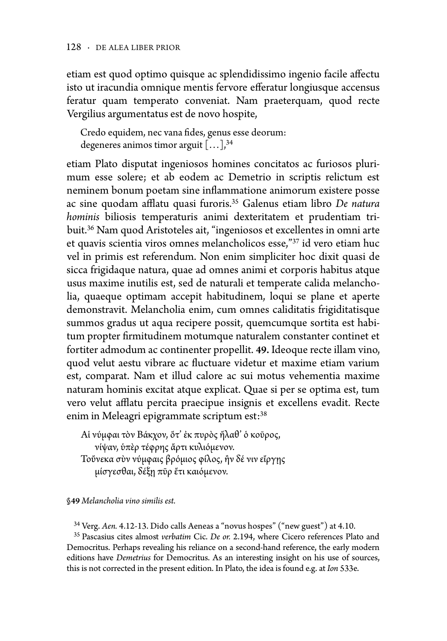etiam est quod optimo quisque ac splendidissimo ingenio facile affectu isto ut iracundia omnique mentis fervore efferatur longiusque accensus feratur quam temperato conveniat. Nam praeterquam, quod recte Vergilius argumentatus est de novo hospite,

Credo equidem, nec vana fides, genus esse deorum: degeneres animos timor arguit  $[\dots]$ <sup>34</sup>

etiam Plato disputat ingeniosos homines concitatos ac furiosos plurimum esse solere; et ab eodem ac Demetrio in scriptis relictum est neminem bonum poetam sine in1ammatione animorum existere posse ac sine quodam afflatu quasi furoris.<sup>35</sup> Galenus etiam libro *De natura hominis* biliosis temperaturis animi dexteritatem et prudentiam tribuit.36 Nam quod Aristoteles ait, "ingeniosos et excellentes in omni arte et quavis scientia viros omnes melancholicos esse,"37 id vero etiam huc vel in primis est referendum. Non enim simpliciter hoc dixit quasi de sicca frigidaque natura, quae ad omnes animi et corporis habitus atque usus maxime inutilis est, sed de naturali et temperate calida melancholia, quaeque optimam accepit habitudinem, loqui se plane et aperte demonstravit. Melancholia enim, cum omnes caliditatis frigiditatisque summos gradus ut aqua recipere possit, quemcumque sortita est habitum propter firmitudinem motumque naturalem constanter continet et fortiter admodum ac continenter propellit. 49. Ideoque recte illam vino, quod velut aestu vibrare ac 1uctuare videtur et maxime etiam varium est, comparat. Nam et illud calore ac sui motus vehementia maxime naturam hominis excitat atque explicat. Quae si per se optima est, tum vero velut afflatu percita praecipue insignis et excellens evadit. Recte enim in Meleagri epigrammate scriptum est:<sup>38</sup>

Αἱ νύμφαιτὸν Βάκχον, ὅτ' ἐκ πυρὸς ἤλαθ' ὁ κοῦρος, νίψαν, ὑπὲρ τέφρης ἄρτι κυλιόμενον. Τοὔνεκα σὺν νύμφαις βρόμιος φίλος, ἢν δέ νιν εἴργῃς μίσγεσθαι, δέξῃ πῦρ ἔτι καιόμενον.

§49 *Melancholia vino similis est.*

34 Verg. *Aen.* 4.12-13. Dido calls Aeneas a "novus hospes" ("new guest") at 4.10.

35 Pascasius cites almost *verbatim* Cic. *De or.* 2.194, where Cicero references Plato and Democritus. Perhaps revealing his reliance on a second-hand reference, the early modern editions have *Demetrius* for Democritus. As an interesting insight on his use of sources, this is not corrected in the present edition. In Plato, the idea is found e.g. at *Ion* 533e.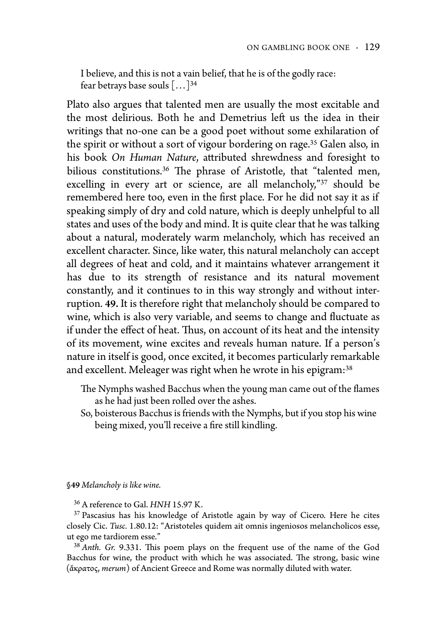I believe, and this is not a vain belief, that he is of the godly race: fear betrays base souls […]<sup>34</sup>

Plato also argues that talented men are usually the most excitable and the most delirious. Both he and Demetrius left us the idea in their writings that no-one can be a good poet without some exhilaration of the spirit or without a sort of vigour bordering on rage.35 Galen also, in his book *On Human Nature*, attributed shrewdness and foresight to bilious constitutions.<sup>36</sup> The phrase of Aristotle, that "talented men, excelling in every art or science, are all melancholy,"37 should be remembered here too, even in the first place. For he did not say it as if speaking simply of dry and cold nature, which is deeply unhelpful to all states and uses of the body and mind. It is quite clear that he was talking about a natural, moderately warm melancholy, which has received an excellent character. Since, like water, this natural melancholy can accept all degrees of heat and cold, and it maintains whatever arrangement it has due to its strength of resistance and its natural movement constantly, and it continues to in this way strongly and without interruption. 49. It is therefore right that melancholy should be compared to wine, which is also very variable, and seems to change and fluctuate as if under the effect of heat. Thus, on account of its heat and the intensity of its movement, wine excites and reveals human nature. If a person's nature in itself is good, once excited, it becomes particularly remarkable and excellent. Meleager was right when he wrote in his epigram:<sup>38</sup>

- The Nymphs washed Bacchus when the young man came out of the flames as he had just been rolled over the ashes.
- So, boisterous Bacchus is friends with the Nymphs, but if you stop his wine being mixed, you'll receive a fire still kindling.

§49 *Melancholy is like wine.*

36 A reference to Gal. *HNH* 15.97 K.

<sup>37</sup> Pascasius has his knowledge of Aristotle again by way of Cicero. Here he cites closely Cic. *Tusc.* 1.80.12: "Aristoteles quidem ait omnis ingeniosos melancholicos esse, ut ego me tardiorem esse."

<sup>38</sup> Anth. Gr. 9.331. This poem plays on the frequent use of the name of the God Bacchus for wine, the product with which he was associated. The strong, basic wine (ἄκρατος, *merum*) of Ancient Greece and Rome was normally diluted with water.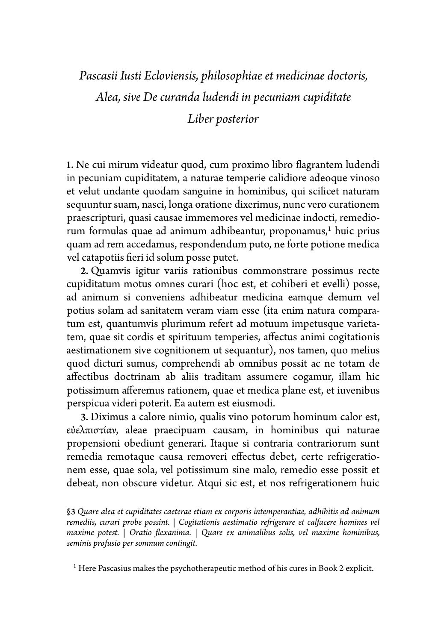# *Pascasii Iusti Ecloviensis, philosophiae et medicinae doctoris, Alea, sive De curanda ludendi in pecuniam cupiditate*

### *Liber posterior*

1. Ne cui mirum videatur quod, cum proximo libro 1agrantem ludendi in pecuniam cupiditatem, a naturae temperie calidiore adeoque vinoso et velut undante quodam sanguine in hominibus, qui scilicet naturam sequuntur suam, nasci, longa oratione dixerimus, nunc vero curationem praescripturi, quasi causae immemores vel medicinae indocti, remediorum formulas quae ad animum adhibeantur, proponamus, <sup>1</sup> huic prius quam ad rem accedamus, respondendum puto, ne forte potione medica vel catapotiis fieri id solum posse putet.

2. Quamvis igitur variis rationibus commonstrare possimus recte cupiditatum motus omnes curari (hoc est, et cohiberi et evelli) posse, ad animum si conveniens adhibeatur medicina eamque demum vel potius solam ad sanitatem veram viam esse (ita enim natura comparatum est, quantumvis plurimum refert ad motuum impetusque varietatem, quae sit cordis et spirituum temperies, affectus animi cogitationis aestimationem sive cognitionem ut sequantur), nos tamen, quo melius quod dicturi sumus, comprehendi ab omnibus possit ac ne totam de affectibus doctrinam ab aliis traditam assumere cogamur, illam hic potissimum afferemus rationem, quae et medica plane est, et iuvenibus perspicua videri poterit. Ea autem est eiusmodi.

3. Diximus a calore nimio, qualis vino potorum hominum calor est, εὐελπιστίαν, aleae praecipuam causam, in hominibus qui naturae propensioni obediunt generari. Itaque si contraria contrariorum sunt remedia remotaque causa removeri effectus debet, certe refrigerationem esse, quae sola, vel potissimum sine malo, remedio esse possit et debeat, non obscure videtur. Atqui sic est, et nos refrigerationem huic

§3 *Quare alea et cupiditates caeterae etiam ex corporis intemperantiae, adhibitis ad animum remediis, curari probe possint.* | *Cogitationis aestimatio re#igerare et calfacere homines vel maxime potest.* | *Oratio \$exanima.* | *Quare ex animalibus solis, vel maxime hominibus, seminis profusio per somnum contingit.*

1 Here Pascasius makes the psychotherapeutic method of his cures in Book 2 explicit.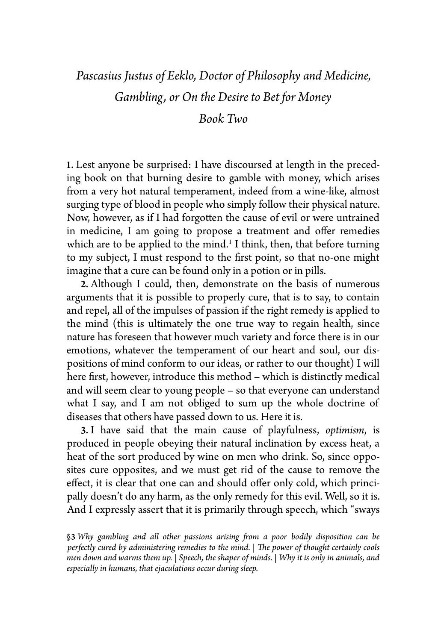# *Pascasius Justus of Eeklo, Doctor of Philosophy and Medicine, Gambling, or On the Desire to Bet for Money*

#### *Book Two*

1. Lest anyone be surprised: I have discoursed at length in the preceding book on that burning desire to gamble with money, which arises from a very hot natural temperament, indeed from a wine-like, almost surging type of blood in people who simply follow their physical nature. Now, however, as if I had forgotten the cause of evil or were untrained in medicine, I am going to propose a treatment and offer remedies which are to be applied to the mind.<sup>1</sup> I think, then, that before turning to my subject, I must respond to the first point, so that no-one might imagine that a cure can be found only in a potion or in pills.

2. Although I could, then, demonstrate on the basis of numerous arguments that it is possible to properly cure, that is to say, to contain and repel, all of the impulses of passion if the right remedy is applied to the mind (this is ultimately the one true way to regain health, since nature has foreseen that however much variety and force there is in our emotions, whatever the temperament of our heart and soul, our dispositions of mind conform to our ideas, or rather to our thought) I will here first, however, introduce this method – which is distinctly medical and will seem clear to young people – so that everyone can understand what I say, and I am not obliged to sum up the whole doctrine of diseases that others have passed down to us. Here it is.

3. I have said that the main cause of playfulness, *optimism*, is produced in people obeying their natural inclination by excess heat, a heat of the sort produced by wine on men who drink. So, since opposites cure opposites, and we must get rid of the cause to remove the effect, it is clear that one can and should offer only cold, which principally doesn't do any harm, as the only remedy for this evil. Well, so it is. And I expressly assert that it is primarily through speech, which "sways

§3 *Why gambling and all other passions arising #om a poor bodily disposition can be perfectly cured by administering remedies to the mind.* | *!e power of thought certainly cools men down and warms them up.* | *Speech, the shaper of minds.* | *Why it is only in animals, and especially in humans, that ejaculations occur during sleep.*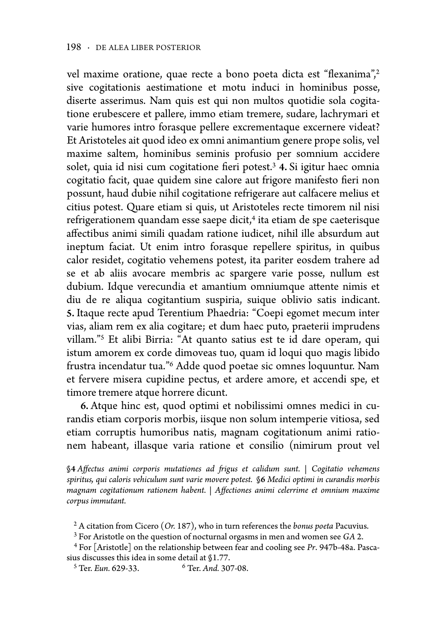vel maxime oratione, quae recte a bono poeta dicta est "flexanima",<sup>2</sup> sive cogitationis aestimatione et motu induci in hominibus posse, diserte asserimus. Nam quis est qui non multos quotidie sola cogitatione erubescere et pallere, immo etiam tremere, sudare, lachrymari et varie humores intro forasque pellere excrementaque excernere videat? Et Aristoteles ait quod ideo ex omni animantium genere prope solis, vel maxime saltem, hominibus seminis profusio per somnium accidere solet, quia id nisi cum cogitatione fieri potest.<sup>3</sup> 4. Si igitur haec omnia cogitatio facit, quae quidem sine calore aut frigore manifesto fieri non possunt, haud dubie nihil cogitatione refrigerare aut calfacere melius et citius potest. Quare etiam si quis, ut Aristoteles recte timorem nil nisi refrigerationem quandam esse saepe dicit,<sup>4</sup> ita etiam de spe caeterisque affectibus animi simili quadam ratione iudicet, nihil ille absurdum aut ineptum faciat. Ut enim intro forasque repellere spiritus, in quibus calor residet, cogitatio vehemens potest, ita pariter eosdem trahere ad se et ab aliis avocare membris ac spargere varie posse, nullum est dubium. Idque verecundia et amantium omniumque attente nimis et diu de re aliqua cogitantium suspiria, suique oblivio satis indicant. 5. Itaque recte apud Terentium Phaedria: "Coepi egomet mecum inter vias, aliam rem ex alia cogitare; et dum haec puto, praeterii imprudens villam."5 Et alibi Birria: "At quanto satius est te id dare operam, qui istum amorem ex corde dimoveas tuo, quam id loqui quo magis libido frustra incendatur tua."6 Adde quod poetae sic omnes loquuntur. Nam et fervere misera cupidine pectus, et ardere amore, et accendi spe, et timore tremere atque horrere dicunt.

6. Atque hinc est, quod optimi et nobilissimi omnes medici in curandis etiam corporis morbis, iisque non solum intemperie vitiosa, sed etiam corruptis humoribus natis, magnam cogitationum animi rationem habeant, illasque varia ratione et consilio (nimirum prout vel

§4 *A%ectus animi corporis mutationes ad #igus et calidum sunt.* | *Cogitatio vehemens spiritus, qui caloris vehiculum sunt varie movere potest.* §6 *Medici optimi in curandis morbis magnam cogitationum rationem habent.* | *A%ectiones animi celerrime et omnium maxime corpus immutant.*

2 A citation from Cicero (*Or.* 187), who in turn references the *bonus poeta* Pacuvius.

3 For Aristotle on the question of nocturnal orgasms in men and women see *GA* 2.

4 For [Aristotle] on the relationship between fear and cooling see *Pr*. 947b-48a. Pascasius discusses this idea in some detail at  $$1.77$ .<br><sup>5</sup> Ter. *Eun.* 629-33. <sup>6</sup> Ter. *And.* 307-08.

<sup>5</sup> Ter. *Eun.* 629-33.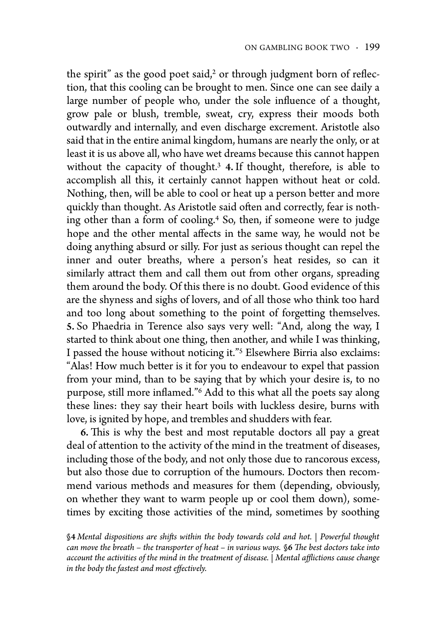the spirit" as the good poet said, $2$  or through judgment born of reflection, that this cooling can be brought to men. Since one can see daily a large number of people who, under the sole influence of a thought, grow pale or blush, tremble, sweat, cry, express their moods both outwardly and internally, and even discharge excrement. Aristotle also said that in the entire animal kingdom, humans are nearly the only, or at least it is us above all, who have wet dreams because this cannot happen without the capacity of thought.<sup>3</sup> 4. If thought, therefore, is able to accomplish all this, it certainly cannot happen without heat or cold. Nothing, then, will be able to cool or heat up a person better and more quickly than thought. As Aristotle said often and correctly, fear is nothing other than a form of cooling.4 So, then, if someone were to judge hope and the other mental affects in the same way, he would not be doing anything absurd or silly. For just as serious thought can repel the inner and outer breaths, where a person's heat resides, so can it similarly attract them and call them out from other organs, spreading them around the body. Of this there is no doubt. Good evidence of this are the shyness and sighs of lovers, and of all those who think too hard and too long about something to the point of forgetting themselves. 5. So Phaedria in Terence also says very well: "And, along the way, I started to think about one thing, then another, and while I was thinking, I passed the house without noticing it."5 Elsewhere Birria also exclaims: "Alas! How much better is it for you to endeavour to expel that passion from your mind, than to be saying that by which your desire is, to no purpose, still more inflamed."<sup>6</sup> Add to this what all the poets say along these lines: they say their heart boils with luckless desire, burns with love, is ignited by hope, and trembles and shudders with fear.

6. This is why the best and most reputable doctors all pay a great deal of attention to the activity of the mind in the treatment of diseases, including those of the body, and not only those due to rancorous excess, but also those due to corruption of the humours. Doctors then recommend various methods and measures for them (depending, obviously, on whether they want to warm people up or cool them down), sometimes by exciting those activities of the mind, sometimes by soothing

§4 *Mental dispositions are shi&s within the body towards cold and hot.* | *Powerful thought can move the breath – the transporter of heat – in various ways.* §6 *!e best doctors take into account the activities of the mind in the treatment of disease.* | *Mental a'ictions cause change in the body the fastest and most effectively.*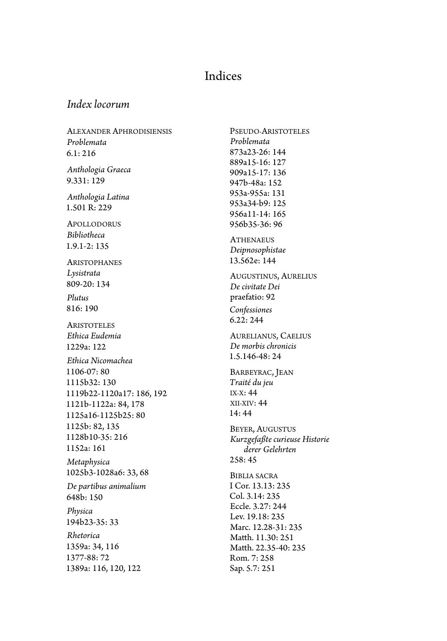### Indices

#### *Index locorum*

ALEXANDER APHRODISIENSIS *Problemata* 6.1: 216

*Anthologia Graeca* 9.331: 129

*Anthologia Latina* 1.501 R: 229

APOLLODORUS *Bibliotheca* 1.9.1-2: 135

ARISTOPHANES *Lysistrata* 809-20: 134

*Plutus* 816: 190

**ARISTOTELES** *Ethica Eudemia* 1229a: 122 *Ethica Nicomachea* 1106-07: 80 1115b32: 130 1119b22-1120a17: 186, 192 1121b-1122a: 84, 178 1125a16-1125b25: 80 1125b: 82, 135 1128b10-35: 216 1152a: 161 *Metaphysica* 1025b3-1028a6: 33, 68 *De partibus animalium* 648b: 150 *Physica* 194b23-35: 33 *Rhetorica* 1359a: 34, 116 1377-88: 72 1389a: 116, 120, 122

*Problemata* 873a23-26: 144 889a15-16: 127 909a15-17: 136 947b-48a: 152 953a-955a: 131 953a34-b9: 125 956a11-14: 165 956b35-36: 96 **ATHENAEUS** *Deipnosophistae* 13.562e: 144 AUGUSTINUS, AURELIUS *De civitate Dei* praefatio: 92 *Confessiones* 6.22: 244 AURELIANUS, CAELIUS *De morbis chronicis* 1.5.146-48: 24 BARBEYRAC, JEAN *Traité du jeu* IX-X: 44 XII-XIV: 44 14: 44 BEYER, AUGUSTUS *Kurzgefaßte curieuse Historie derer Gelehrten* 258: 45 **BIBLIA SACRA** I Cor. 13.13: 235 Col. 3.14: 235 Eccle. 3.27: 244 Lev. 19.18: 235 Marc. 12.28-31: 235 Matth. 11.30: 251

Matth. 22.35-40: 235 Rom. 7: 258 Sap. 5.7: 251

PSEUDO-ARISTOTELES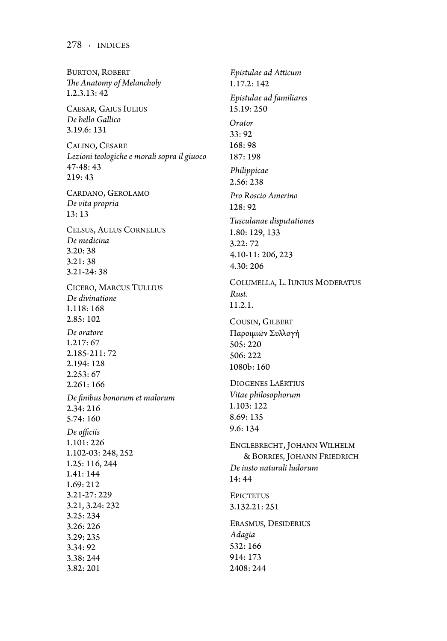BURTON, ROBERT *!e Anatomy of Melancholy* 1.2.3.13: 42 CAESAR, GAIUS IULIUS *De bello Gallico* 3.19.6: 131 CALINO, CESARE *Lezioni teologiche e morali sopra il giuoco* 47-48: 43 219: 43 CARDANO, GEROLAMO *De vita propria* 13: 13 CELSUS, AULUS CORNELIUS *De medicina* 3.20: 38 3.21: 38 3.21-24: 38 CICERO, MARCUS TULLIUS *De divinatione* 1.118: 168 2.85: 102 *De oratore* 1.217: 67 2.185-211: 72 2.194: 128 2.253: 67 2.261: 166 *De "nibus bonorum et malorum* 2.34: 216 5.74: 160  $De$  *officiis* 1.101: 226 1.102-03: 248, 252 1.25: 116, 244 1.41: 144 1.69: 212 3.21-27: 229 3.21, 3.24: 232 3.25: 234 3.26: 226 3.29: 235 3.34: 92 3.38: 244 3.82: 201

 $E$ *pistulae ad Atticum* 1.17.2: 142 *Epistulae ad familiares* 15.19: 250 *Orator* 33: 92 168: 98 187: 198 *Philippicae* 2.56: 238 *Pro Roscio Amerino* 128: 92 *Tusculanae disputationes* 1.80: 129, 133 3.22: 72 4.10-11: 206, 223 4.30: 206 COLUMELLA, L. IUNIUS MODERATUS *Rust.* 11.2.1. COUSIN, GILBERT Παροιμιῶν Συλλογή 505: 220 506: 222 1080b: 160 DIOGENES LAËRTIUS *Vitae philosophorum* 1.103: 122 8.69: 135 9.6: 134 ENGLEBRECHT, JOHANN WILHELM & BORRIES, JOHANN FRIEDRICH *De iusto naturali ludorum* 14: 44 **EPICTETUS** 3.132.21: 251 ERASMUS, DESIDERIUS *Adagia* 532: 166 914: 173 2408: 244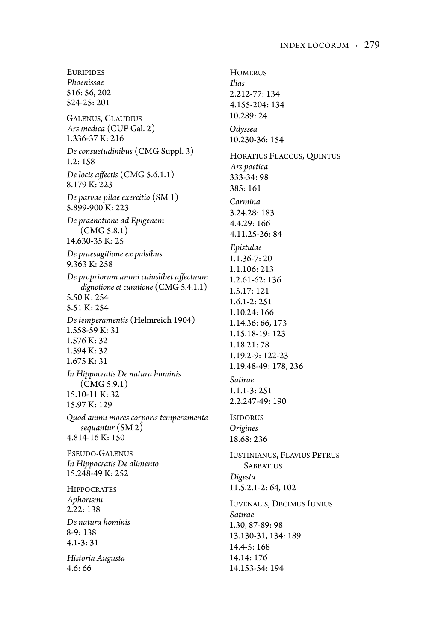EURIPIDES *Phoenissae* 516: 56, 202 524-25: 201 GALENUS, CLAUDIUS *Ars medica* (CUF Gal. 2) 1.336-37 K: 216 *De consuetudinibus* (CMG Suppl. 3) 1.2: 158 *De locis affectis* (CMG 5.6.1.1) 8.179 K: 223 *De parvae pilae exercitio* (SM 1) 5.899-900 K: 223 *De praenotione ad Epigenem*  (CMG 5.8.1) 14.630-35 K: 25 *De praesagitione ex pulsibus* 9.363 K: 258  $De$  propriorum animi cuiuslibet affectuum *dignotione et curatione* (CMG 5.4.1.1) 5.50 K: 254 5.51 K: 254 *De temperamentis* (Helmreich 1904) 1.558-59 K: 31 1.576 K: 32 1.594 K: 32 1.675 K: 31 *In Hippocratis De natura hominis*  (CMG 5.9.1) 15.10-11 K: 32 15.97 K: 129 *Quod animi mores corporis temperamenta sequantur* (SM 2) 4.814-16 K: 150 PSEUDO-GALENUS *In Hippocratis De alimento* 15.248-49 K: 252 **HIPPOCRATES** *Aphorismi* 2.22: 138 *De natura hominis* 8-9: 138 4.1-3: 31 *Historia Augusta* 4.6: 66

**HOMERUS** *Ilias* 2.212-77: 134 4.155-204: 134 10.289: 24 *Odyssea* 10.230-36: 154 HORATIUS FLACCUS, QUINTUS *Ars poetica* 333-34: 98 385: 161 *Carmina* 3.24.28: 183 4.4.29: 166 4.11.25-26: 84 *Epistulae* 1.1.36-7: 20 1.1.106: 213 1.2.61-62: 136 1.5.17: 121 1.6.1-2: 251 1.10.24: 166 1.14.36: 66, 173 1.15.18-19: 123 1.18.21: 78 1.19.2-9: 122-23 1.19.48-49: 178, 236 *Satirae* 1.1.1-3: 251 2.2.247-49: 190 ISIDORUS *Origines* 18.68: 236 IUSTINIANUS, FLAVIUS PETRUS **SABBATIUS** *Digesta* 11.5.2.1-2: 64, 102 IUVENALIS, DECIMUS IUNIUS *Satirae* 1.30, 87-89: 98 13.130-31, 134: 189 14.4-5: 168 14.14: 176 14.153-54: 194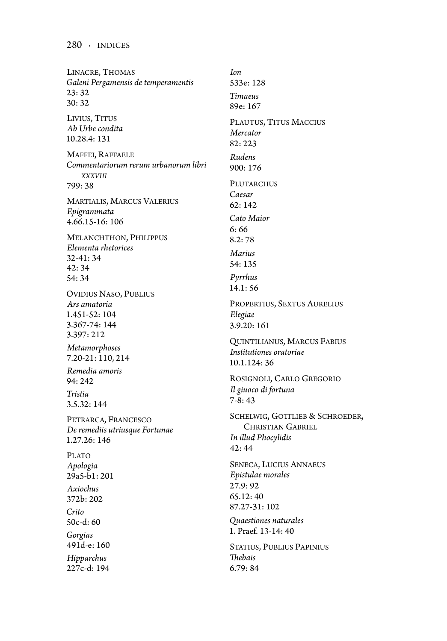LINACRE, THOMAS *Galeni Pergamensis de temperamentis* 23: 32 30: 32 LIVIUS, TITUS *Ab Urbe condita* 10.28.4: 131 MAFFEI, RAFFAELE *Commentariorum rerum urbanorum libri XXXVIII* 799: 38 MARTIALIS, MARCUS VALERIUS *Epigrammata* 4.66.15-16: 106 MELANCHTHON, PHILIPPUS *Elementa rhetorices* 32-41: 34 42: 34 54: 34 OVIDIUS NASO, PUBLIUS *Ars amatoria* 1.451-52: 104 3.367-74: 144 3.397: 212 *Metamorphoses* 7.20-21: 110, 214 *Remedia amoris* 94: 242 *Tristia* 3.5.32: 144 PETRARCA, FRANCESCO *De remediis utriusque Fortunae* 1.27.26: 146 PLATO *Apologia* 29a5-b1: 201 *Axiochus* 372b: 202 *Crito* 50c-d: 60 *Gorgias* 491d-e: 160 *Hipparchus* 227c-d: 194

*Ion* 533e: 128 *Timaeus* 89e: 167 PLAUTUS, TITUS MACCIUS *Mercator* 82: 223 *Rudens* 900: 176 PLUTARCHUS *Caesar* 62: 142 *Cato Maior* 6: 66 8.2: 78 *Marius* 54: 135 *Pyrrhus* 14.1: 56 PROPERTIUS, SEXTUS AURELIUS *Elegiae* 3.9.20: 161 QUINTILIANUS, MARCUS FABIUS *Institutiones oratoriae* 10.1.124: 36 ROSIGNOLI, CARLO GREGORIO *Il giuoco di fortuna* 7-8: 43 SCHELWIG, GOTTLIEB & SCHROEDER, CHRISTIAN GABRIEL *In illud Phocylidis* 42: 44 SENECA, LUCIUS ANNAEUS *Epistulae morales* 27.9: 92 65.12: 40 87.27-31: 102 *Quaestiones naturales* 1. Praef. 13-14: 40 STATIUS, PUBLIUS PAPINIUS *!ebais* 6.79: 84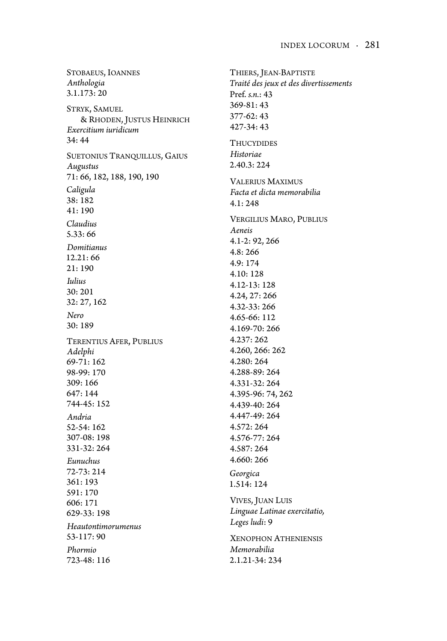STOBAEUS, IOANNES *Anthologia* 3.1.173: 20 STRYK, SAMUEL & RHODEN, JUSTUS HEINRICH *Exercitium iuridicum* 34: 44 SUETONIUS TRANQUILLUS, GAIUS *Augustus* 71: 66, 182, 188, 190, 190 *Caligula* 38: 182 41: 190 *Claudius* 5.33: 66 *Domitianus* 12.21: 66 21: 190 *Iulius* 30: 201 32: 27, 162 *Nero* 30: 189 TERENTIUS AFER, PUBLIUS *Adelphi* 69-71: 162 98-99: 170 309: 166 647: 144 744-45: 152 *Andria* 52-54: 162 307-08: 198 331-32: 264 *Eunuchus* 72-73: 214 361: 193 591: 170 606: 171 629-33: 198 *Heautontimorumenus* 53-117: 90 *Phormio* 723-48: 116

THIERS, JEAN-BAPTISTE *Traité des jeux et des divertissements* Pref. *s.n.*: 43 369-81: 43 377-62: 43 427-34: 43 **THUCYDIDES** *Historiae* 2.40.3: 224 VALERIUS MAXIMUS *Facta et dicta memorabilia*  $4.1:248$ VERGILIUS MARO, PUBLIUS *Aeneis* 4.1-2: 92, 266 4.8: 266 4.9: 174 4.10: 128 4.12-13: 128 4.24, 27: 266 4.32-33: 266 4.65-66: 112 4.169-70: 266 4.237: 262 4.260, 266: 262 4.280: 264 4.288-89: 264 4.331-32: 264 4.395-96: 74, 262 4.439-40: 264 4.447-49: 264 4.572: 264 4.576-77: 264 4.587: 264 4.660: 266 *Georgica* 1.514: 124 VIVES, JUAN LUIS *Linguae Latinae exercitatio, Leges ludi*: 9 XENOPHON ATHENIENSIS *Memorabilia* 2.1.21-34: 234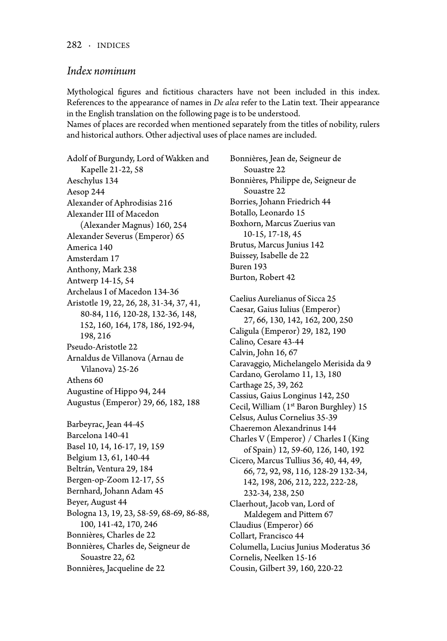#### *Index nominum*

Mythological figures and fictitious characters have not been included in this index. References to the appearance of names in *De alea* refer to the Latin text. Their appearance in the English translation on the following page is to be understood.

Names of places are recorded when mentioned separately from the titles of nobility, rulers and historical authors. Other adjectival uses of place names are included.

Adolf of Burgundy, Lord of Wakken and Kapelle 21-22, 58 Aeschylus 134 Aesop 244 Alexander of Aphrodisias 216 Alexander III of Macedon (Alexander Magnus) 160, 254 Alexander Severus (Emperor) 65 America 140 Amsterdam 17 Anthony, Mark 238 Antwerp 14-15, 54 Archelaus I of Macedon 134-36 Aristotle 19, 22, 26, 28, 31-34, 37, 41, 80-84, 116, 120-28, 132-36, 148, 152, 160, 164, 178, 186, 192-94, 198, 216 Pseudo-Aristotle 22 Arnaldus de Villanova (Arnau de Vilanova) 25-26 Athens 60 Augustine of Hippo 94, 244 Augustus (Emperor) 29, 66, 182, 188 Barbeyrac, Jean 44-45 Barcelona 140-41 Basel 10, 14, 16-17, 19, 159 Belgium 13, 61, 140-44 Beltrán, Ventura 29, 184 Bergen-op-Zoom 12-17, 55 Bernhard, Johann Adam 45 Beyer, August 44 Bologna 13, 19, 23, 58-59, 68-69, 86-88, 100, 141-42, 170, 246 Bonnières, Charles de 22 Bonnières, Charles de, Seigneur de Souastre 22, 62 Bonnières, Jacqueline de 22

Bonnières, Jean de, Seigneur de Souastre 22 Bonnières, Philippe de, Seigneur de Souastre 22 Borries, Johann Friedrich 44 Botallo, Leonardo 15 Boxhorn, Marcus Zuerius van 10-15, 17-18, 45 Brutus, Marcus Junius 142 Buissey, Isabelle de 22 Buren 193 Burton, Robert 42 Caelius Aurelianus of Sicca 25 Caesar, Gaius Iulius (Emperor) 27, 66, 130, 142, 162, 200, 250 Caligula (Emperor) 29, 182, 190 Calino, Cesare 43-44 Calvin, John 16, 67 Caravaggio, Michelangelo Merisida da 9 Cardano, Gerolamo 11, 13, 180 Carthage 25, 39, 262 Cassius, Gaius Longinus 142, 250 Cecil, William (1st Baron Burghley) 15 Celsus, Aulus Cornelius 35-39 Chaeremon Alexandrinus 144 Charles V (Emperor) / Charles I (King of Spain) 12, 59-60, 126, 140, 192 Cicero, Marcus Tullius 36, 40, 44, 49, 66, 72, 92, 98, 116, 128-29 132-34, 142, 198, 206, 212, 222, 222-28, 232-34, 238, 250 Claerhout, Jacob van, Lord of Maldegem and Pittem 67 Claudius (Emperor) 66 Collart, Francisco 44 Columella, Lucius Junius Moderatus 36 Cornelis, Neelken 15-16 Cousin, Gilbert 39, 160, 220-22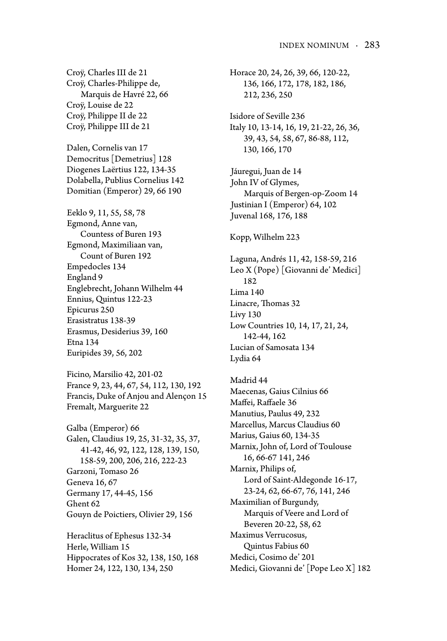Croÿ, Charles III de 21 Croÿ, Charles-Philippe de, Marquis de Havré 22, 66 Croÿ, Louise de 22 Croÿ, Philippe II de 22 Croÿ, Philippe III de 21

Dalen, Cornelis van 17 Democritus [Demetrius] 128 Diogenes Laërtius 122, 134-35 Dolabella, Publius Cornelius 142 Domitian (Emperor) 29, 66 190

Eeklo 9, 11, 55, 58, 78 Egmond, Anne van, Countess of Buren 193 Egmond, Maximiliaan van, Count of Buren 192 Empedocles 134 England 9 Englebrecht, Johann Wilhelm 44 Ennius, Quintus 122-23 Epicurus 250 Erasistratus 138-39 Erasmus, Desiderius 39, 160 Etna 134 Euripides 39, 56, 202

Ficino, Marsilio 42, 201-02 France 9, 23, 44, 67, 54, 112, 130, 192 Francis, Duke of Anjou and Alençon 15 Fremalt, Marguerite 22

Galba (Emperor) 66 Galen, Claudius 19, 25, 31-32, 35, 37, 41-42, 46, 92, 122, 128, 139, 150, 158-59, 200, 206, 216, 222-23 Garzoni, Tomaso 26 Geneva 16, 67 Germany 17, 44-45, 156 Ghent 62 Gouyn de Poictiers, Olivier 29, 156

Heraclitus of Ephesus 132-34 Herle, William 15 Hippocrates of Kos 32, 138, 150, 168 Homer 24, 122, 130, 134, 250

Horace 20, 24, 26, 39, 66, 120-22, 136, 166, 172, 178, 182, 186, 212, 236, 250 Isidore of Seville 236 Italy 10, 13-14, 16, 19, 21-22, 26, 36, 39, 43, 54, 58, 67, 86-88, 112, 130, 166, 170 Jáuregui, Juan de 14 John IV of Glymes, Marquis of Bergen-op-Zoom 14 Justinian I (Emperor) 64, 102 Juvenal 168, 176, 188 Kopp, Wilhelm 223 Laguna, Andrés 11, 42, 158-59, 216 Leo X (Pope) [Giovanni de' Medici] 182 Lima 140 Linacre, Thomas 32 Livy 130 Low Countries 10, 14, 17, 21, 24, 142-44, 162 Lucian of Samosata 134 Lydia 64 Madrid 44 Maecenas, Gaius Cilnius 66 Maffei, Raffaele 36 Manutius, Paulus 49, 232 Marcellus, Marcus Claudius 60 Marius, Gaius 60, 134-35 Marnix, John of, Lord of Toulouse 16, 66-67 141, 246 Marnix, Philips of, Lord of Saint-Aldegonde 16-17, 23-24, 62, 66-67, 76, 141, 246 Maximilian of Burgundy, Marquis of Veere and Lord of Beveren 20-22, 58, 62 Maximus Verrucosus,

Quintus Fabius 60 Medici, Cosimo de' 201

Medici, Giovanni de' [Pope Leo X] 182